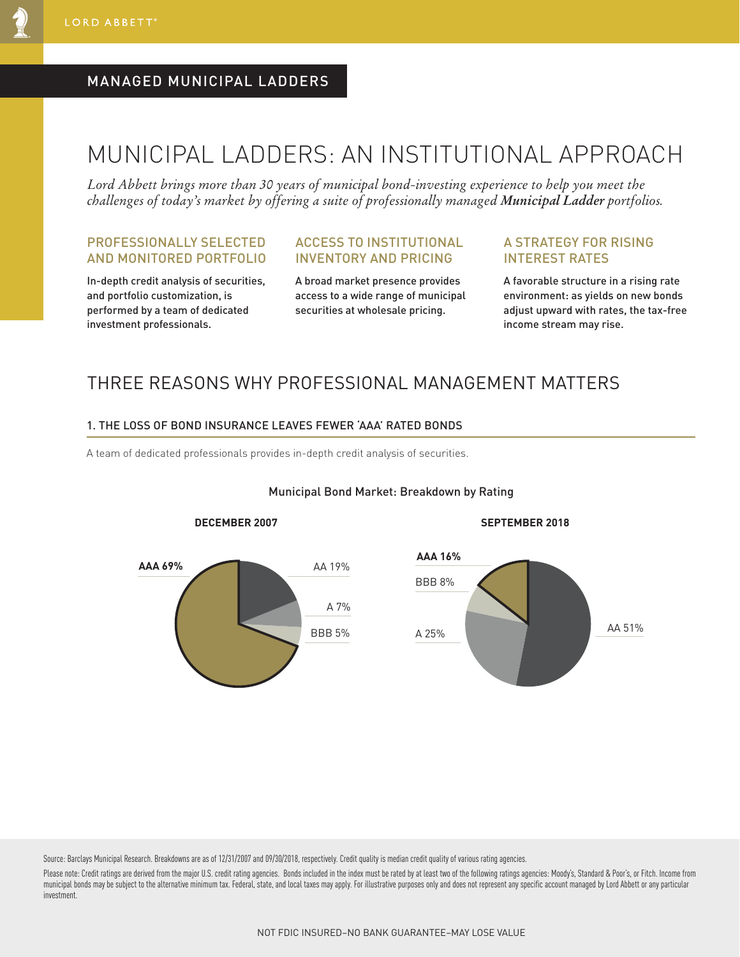### MANAGED MUNICIPAL LADDERS

# MUNICIPAL LADDERS: AN INSTITUTIONAL APPROACH

*Lord Abbett brings more than 30 years of municipal bond-investing experience to help you meet the challenges of today's market by offering a suite of professionally managed Municipal Ladder portfolios.*

#### PROFESSIONALLY SELECTED AND MONITORED PORTFOLIO

In-depth credit analysis of securities, and portfolio customization, is performed by a team of dedicated investment professionals.

### ACCESS TO INSTITUTIONAL INVENTORY AND PRICING

A broad market presence provides access to a wide range of municipal securities at wholesale pricing.

#### A STRATEGY FOR RISING INTEREST RATES

A favorable structure in a rising rate environment: as yields on new bonds adjust upward with rates, the tax-free income stream may rise.

### THREE REASONS WHY PROFESSIONAL MANAGEMENT MATTERS

#### 1. THE LOSS OF BOND INSURANCE LEAVES FEWER 'AAA' RATED BONDS

A team of dedicated professionals provides in-depth credit analysis of securities.



#### Municipal Bond Market: Breakdown by Rating

**DECEMBER 2007 SEPTEMBER 2018**



Source: Barclays Municipal Research. Breakdowns are as of 12/31/2007 and 09/30/2018, respectively. Credit quality is median credit quality of various rating agencies.

Please note: Credit ratings are derived from the major U.S. credit rating agencies. Bonds included in the index must be rated by at least two of the following ratings agencies: Moody's, Standard & Poor's, or Fitch. Income municipal bonds may be subject to the alternative minimum tax. Federal, state, and local taxes may apply. For illustrative purposes only and does not represent any specific account managed by Lord Abbett or any particular investment.

NOT FDIC INSURED–NO BANK GUARANTEE–MAY LOSE VALUE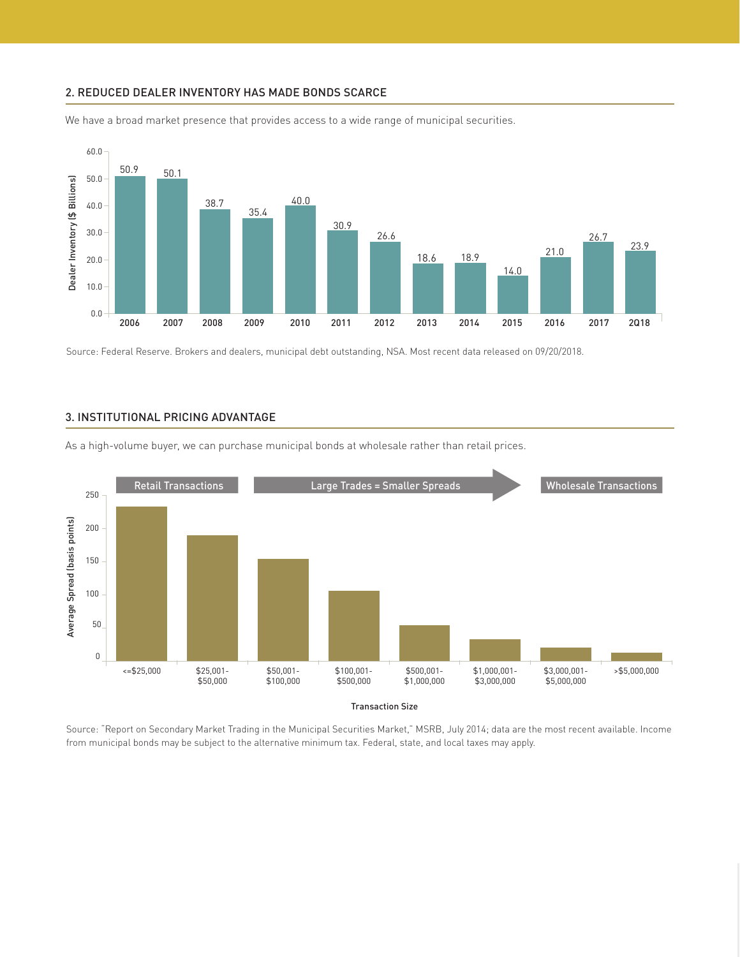#### 2. REDUCED DEALER INVENTORY HAS MADE BONDS SCARCE



We have a broad market presence that provides access to a wide range of municipal securities.

Source: Federal Reserve. Brokers and dealers, municipal debt outstanding, NSA. Most recent data released on 09/20/2018.



As a high-volume buyer, we can purchase municipal bonds at wholesale rather than retail prices.

Source: "Report on Secondary Market Trading in the Municipal Securities Market," MSRB, July 2014; data are the most recent available. Income from municipal bonds may be subject to the alternative minimum tax. Federal, state, and local taxes may apply.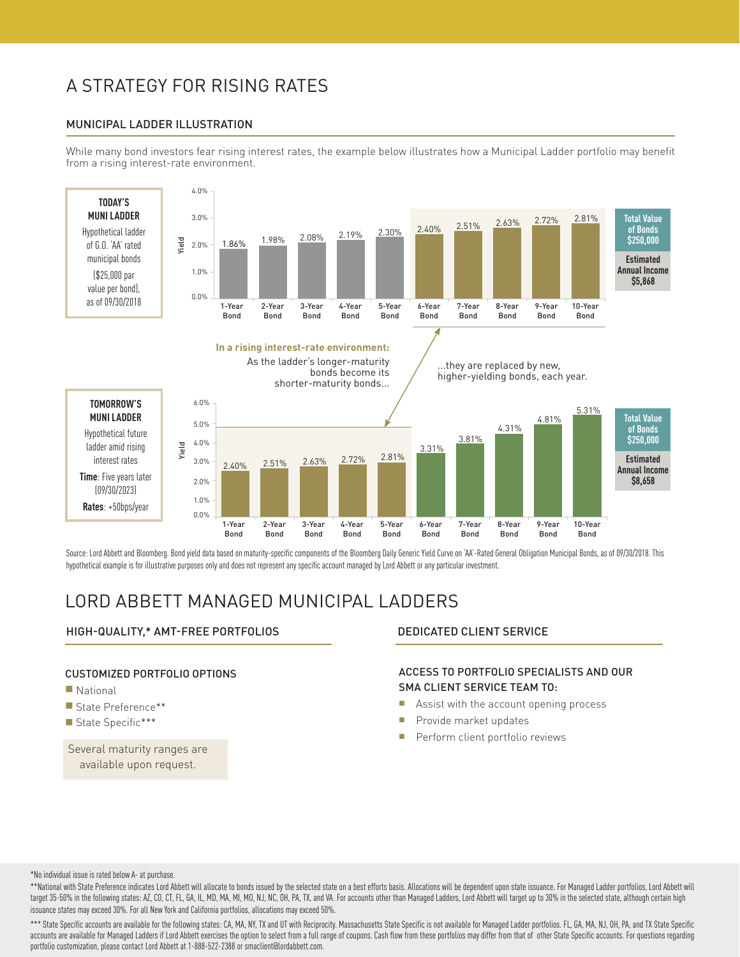## A STRATEGY FOR RISING RATES

#### MUNICIPAL LADDER ILLUSTRATION

While many bond investors fear rising interest rates, the example below illustrates how a Municipal Ladder portfolio may benefit from a rising interest-rate environment.



Source: Lord Abbett and Bloomberg. Bond yield data based on maturity-specific components of the Bloomberg Daily Generic Yield Curve on 'AA'-Rated General Obligation Municipal Bonds, as of 09/30/2018. This hypothetical example is for illustrative purposes only and does not represent any specific account managed by Lord Abbett or any particular investment.

## LORD ABBETT MANAGED MUNICIPAL LADDERS

#### HIGH-QUALITY,\* AMT-FREE PORTFOLIOS DEDICATED CLIENT SERVICE

#### CUSTOMIZED PORTFOLIO OPTIONS

- $\blacksquare$  National
- State Preference\*\*
- State Specific\*\*\*

Several maturity ranges are available upon request.

#### ACCESS TO PORTFOLIO SPECIALISTS AND OUR SMA CLIENT SERVICE TEAM TO:

- **n** Assist with the account opening process
- **Provide market updates**
- Perform client portfolio reviews

\*No individual issue is rated below A- at purchase.

\*\*National with State Preference indicates Lord Abbett will allocate to bonds issued by the selected state on a best efforts basis. Allocations will be dependent upon state issuance. For Managed Ladder portfolios, Lord Abb target 35-50% in the following states: AZ, CO, CT, FL, GA, IL, MD, MA, MI, MO, NJ, NC, OH, PA, TX, and VA. For accounts other than Managed Ladders, Lord Abbett will target up to 30% in the selected state, although certain issuance states may exceed 30%. For all New York and California portfolios, allocations may exceed 50%.

\*\*\* State Specific accounts are available for the following states: CA, MA, NY, TX and UT with Reciprocity. Massachusetts State Specific is not available for Managed Ladder portfolios. FL, GA, MA, NJ, OH, PA, and TX State accounts are available for Managed Ladders if Lord Abbett exercises the option to select from a full range of coupons. Cash flow from these portfolios may differ from that of other State Specific accounts. For questions re portfolio customization, please contact Lord Abbett at 1-888-522-2388 or smaclient@lordabbett.com.